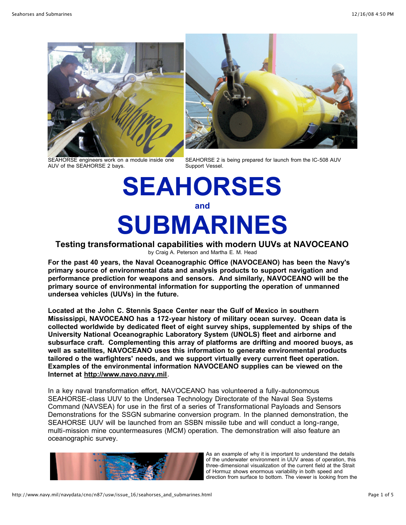





SEAHORSE 2 is being prepared for launch from the IC-508 AUV Support Vessel.

# **SEAHORSES and SUBMARINES**

# **Testing transformational capabilities with modern UUVs at NAVOCEANO**

by Craig A. Peterson and Martha E. M. Head

**For the past 40 years, the Naval Oceanographic Office (NAVOCEANO) has been the Navy's primary source of environmental data and analysis products to support navigation and performance prediction for weapons and sensors. And similarly, NAVOCEANO will be the primary source of environmental information for supporting the operation of unmanned undersea vehicles (UUVs) in the future.** 

**Located at the John C. Stennis Space Center near the Gulf of Mexico in southern Mississippi, NAVOCEANO has a 172-year history of military ocean survey. Ocean data is collected worldwide by dedicated fleet of eight survey ships, supplemented by ships of the University National Oceanographic Laboratory System (UNOLS) fleet and airborne and subsurface craft. Complementing this array of platforms are drifting and moored buoys, as well as satellites, NAVOCEANO uses this information to generate environmental products tailored o the warfighters' needs, and we support virtually every current fleet operation. Examples of the environmental information NAVOCEANO supplies can be viewed on the Internet at [http://www.navo.navy.mil](http://www.navo.navy.mil/).**

In a key naval transformation effort, NAVOCEANO has volunteered a fully-autonomous SEAHORSE-class UUV to the Undersea Technology Directorate of the Naval Sea Systems Command (NAVSEA) for use in the first of a series of Transformational Payloads and Sensors Demonstrations for the SSGN submarine conversion program. In the planned demonstration, the SEAHORSE UUV will be launched from an SSBN missile tube and will conduct a long-range, multi-mission mine countermeasures (MCM) operation. The demonstration will also feature an oceanographic survey.



As an example of why it is important to understand the details of the underwater environment in UUV areas of operation, this three-dimensional visualization of the current field at the Strait of Hormuz shows enormous variability in both speed and direction from surface to bottom. The viewer is looking from the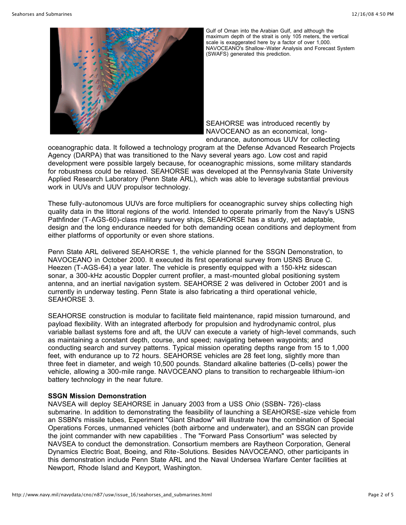

Gulf of Oman into the Arabian Gulf, and although the maximum depth of the strait is only 105 meters, the vertical scale is exaggerated here by a factor of over 1,000. NAVOCEANO's Shallow-Water Analysis and Forecast System (SWAFS) generated this prediction.

SEAHORSE was introduced recently by NAVOCEANO as an economical, longendurance, autonomous UUV for collecting

oceanographic data. It followed a technology program at the Defense Advanced Research Projects Agency (DARPA) that was transitioned to the Navy several years ago. Low cost and rapid development were possible largely because, for oceanographic missions, some military standards for robustness could be relaxed. SEAHORSE was developed at the Pennsylvania State University Applied Research Laboratory (Penn State ARL), which was able to leverage substantial previous work in UUVs and UUV propulsor technology.

These fully-autonomous UUVs are force multipliers for oceanographic survey ships collecting high quality data in the littoral regions of the world. Intended to operate primarily from the Navy's USNS Pathfinder (T-AGS-60)-class military survey ships, SEAHORSE has a sturdy, yet adaptable, design and the long endurance needed for both demanding ocean conditions and deployment from either platforms of opportunity or even shore stations.

Penn State ARL delivered SEAHORSE 1, the vehicle planned for the SSGN Demonstration, to NAVOCEANO in October 2000. It executed its first operational survey from USNS Bruce C. Heezen (T-AGS-64) a year later. The vehicle is presently equipped with a 150-kHz sidescan sonar, a 300-kHz acoustic Doppler current profiler, a mast-mounted global positioning system antenna, and an inertial navigation system. SEAHORSE 2 was delivered in October 2001 and is currently in underway testing. Penn State is also fabricating a third operational vehicle, SEAHORSE 3.

SEAHORSE construction is modular to facilitate field maintenance, rapid mission turnaround, and payload flexibility. With an integrated afterbody for propulsion and hydrodynamic control, plus variable ballast systems fore and aft, the UUV can execute a variety of high-level commands, such as maintaining a constant depth, course, and speed; navigating between waypoints; and conducting search and survey patterns. Typical mission operating depths range from 15 to 1,000 feet, with endurance up to 72 hours. SEAHORSE vehicles are 28 feet long, slightly more than three feet in diameter, and weigh 10,500 pounds. Standard alkaline batteries (D-cells) power the vehicle, allowing a 300-mile range. NAVOCEANO plans to transition to rechargeable lithium-ion battery technology in the near future.

#### **SSGN Mission Demonstration**

NAVSEA will deploy SEAHORSE in January 2003 from a USS *Ohio* (SSBN- 726)-class submarine. In addition to demonstrating the feasibility of launching a SEAHORSE-size vehicle from an SSBN's missile tubes, Experiment "Giant Shadow" will illustrate how the combination of Special Operations Forces, unmanned vehicles (both airborne and underwater), and an SSGN can provide the joint commander with new capabilities . The "Forward Pass Consortium" was selected by NAVSEA to conduct the demonstration. Consortium members are Raytheon Corporation, General Dynamics Electric Boat, Boeing, and Rite-Solutions. Besides NAVOCEANO, other participants in this demonstration include Penn State ARL and the Naval Undersea Warfare Center facilities at Newport, Rhode Island and Keyport, Washington.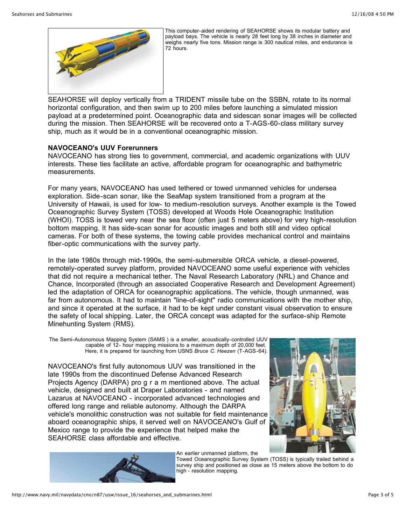

This computer-aided rendering of SEAHORSE shows its modular battery and payload bays. The vehicle is nearly 28 feet long by 38 inches in diameter and weighs nearly five tons. Mission range is 300 nautical miles, and endurance is 72 hours.

SEAHORSE will deploy vertically from a TRIDENT missile tube on the SSBN, rotate to its normal horizontal configuration, and then swim up to 200 miles before launching a simulated mission payload at a predetermined point. Oceanographic data and sidescan sonar images will be collected during the mission. Then SEAHORSE will be recovered onto a T-AGS-60-class military survey ship, much as it would be in a conventional oceanographic mission.

#### **NAVOCEANO's UUV Forerunners**

NAVOCEANO has strong ties to government, commercial, and academic organizations with UUV interests. These ties facilitate an active, affordable program for oceanographic and bathymetric measurements.

For many years, NAVOCEANO has used tethered or towed unmanned vehicles for undersea exploration. Side-scan sonar, like the SeaMap system transitioned from a program at the University of Hawaii, is used for low- to medium-resolution surveys. Another example is the Towed Oceanographic Survey System (TOSS) developed at Woods Hole Oceanographic Institution (WHOI). TOSS is towed very near the sea floor (often just 5 meters above) for very high-resolution bottom mapping. It has side-scan sonar for acoustic images and both still and video optical cameras. For both of these systems, the towing cable provides mechanical control and maintains fiber-optic communications with the survey party.

In the late 1980s through mid-1990s, the semi-submersible ORCA vehicle, a diesel-powered, remotely-operated survey platform, provided NAVOCEANO some useful experience with vehicles that did not require a mechanical tether. The Naval Research Laboratory (NRL) and Chance and Chance, Incorporated (through an associated Cooperative Research and Development Agreement) led the adaptation of ORCA for oceanographic applications. The vehicle, though unmanned, was far from autonomous. It had to maintain "line-of-sight" radio communications with the mother ship, and since it operated at the surface, it had to be kept under constant visual observation to ensure the safety of local shipping. Later, the ORCA concept was adapted for the surface-ship Remote Minehunting System (RMS).

The Semi-Autonomous Mapping System (SAMS ) is a smaller, acoustically-controlled UUV capable of 12- hour mapping missions to a maximum depth of 20,000 feet. Here, it is prepared for launching from USNS *Bruce C. Heezen* (T-AGS-64).

NAVOCEANO's first fully autonomous UUV was transitioned in the late 1990s from the discontinued Defense Advanced Research Projects Agency (DARPA) pro g r a m mentioned above. The actual vehicle, designed and built at Draper Laboratories - and named Lazarus at NAVOCEANO - incorporated advanced technologies and offered long range and reliable autonomy. Although the DARPA vehicle's monolithic construction was not suitable for field maintenance aboard oceanographic ships, it served well on NAVOCEANO's Gulf of Mexico range to provide the experience that helped make the SEAHORSE class affordable and effective.



An earlier unmanned platform, the

Towed Oceanographic Survey System (TOSS) is typically trailed behind a survey ship and positioned as close as 15 meters above the bottom to do high - resolution mapping.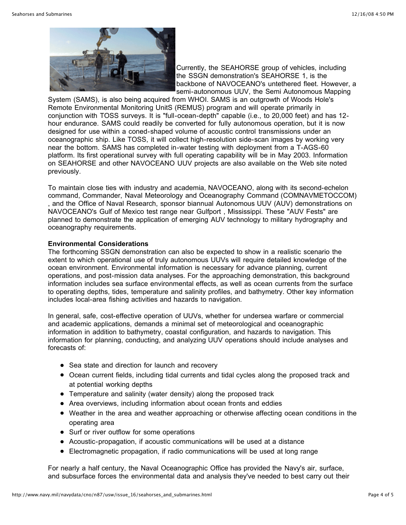

Currently, the SEAHORSE group of vehicles, including the SSGN demonstration's SEAHORSE 1, is the backbone of NAVOCEANO's untethered fleet. However, a semi-autonomous UUV, the Semi Autonomous Mapping

System (SAMS), is also being acquired from WHOI. SAMS is an outgrowth of Woods Hole's Remote Environmental Monitoring UnitS (REMUS) program and will operate primarily in conjunction with TOSS surveys. It is "full-ocean-depth" capable (i.e., to 20,000 feet) and has 12 hour endurance. SAMS could readily be converted for fully autonomous operation, but it is now designed for use within a coned-shaped volume of acoustic control transmissions under an oceanographic ship. Like TOSS, it will collect high-resolution side-scan images by working very near the bottom. SAMS has completed in-water testing with deployment from a T-AGS-60 platform. Its first operational survey with full operating capability will be in May 2003. Information on SEAHORSE and other NAVOCEANO UUV projects are also available on the Web site noted previously.

To maintain close ties with industry and academia, NAVOCEANO, along with its second-echelon command, Commander, Naval Meteorology and Oceanography Command (COMNAVMETOCCOM) , and the Office of Naval Research, sponsor biannual Autonomous UUV (AUV) demonstrations on NAVOCEANO's Gulf of Mexico test range near Gulfport , Mississippi. These "AUV Fests" are planned to demonstrate the application of emerging AUV technology to military hydrography and oceanography requirements.

## **Environmental Considerations**

The forthcoming SSGN demonstration can also be expected to show in a realistic scenario the extent to which operational use of truly autonomous UUVs will require detailed knowledge of the ocean environment. Environmental information is necessary for advance planning, current operations, and post-mission data analyses. For the approaching demonstration, this background information includes sea surface environmental effects, as well as ocean currents from the surface to operating depths, tides, temperature and salinity profiles, and bathymetry. Other key information includes local-area fishing activities and hazards to navigation.

In general, safe, cost-effective operation of UUVs, whether for undersea warfare or commercial and academic applications, demands a minimal set of meteorological and oceanographic information in addition to bathymetry, coastal configuration, and hazards to navigation. This information for planning, conducting, and analyzing UUV operations should include analyses and forecasts of:

- Sea state and direction for launch and recovery
- Ocean current fields, including tidal currents and tidal cycles along the proposed track and at potential working depths
- Temperature and salinity (water density) along the proposed track
- Area overviews, including information about ocean fronts and eddies
- Weather in the area and weather approaching or otherwise affecting ocean conditions in the operating area
- Surf or river outflow for some operations
- Acoustic-propagation, if acoustic communications will be used at a distance
- Electromagnetic propagation, if radio communications will be used at long range

For nearly a half century, the Naval Oceanographic Office has provided the Navy's air, surface, and subsurface forces the environmental data and analysis they've needed to best carry out their